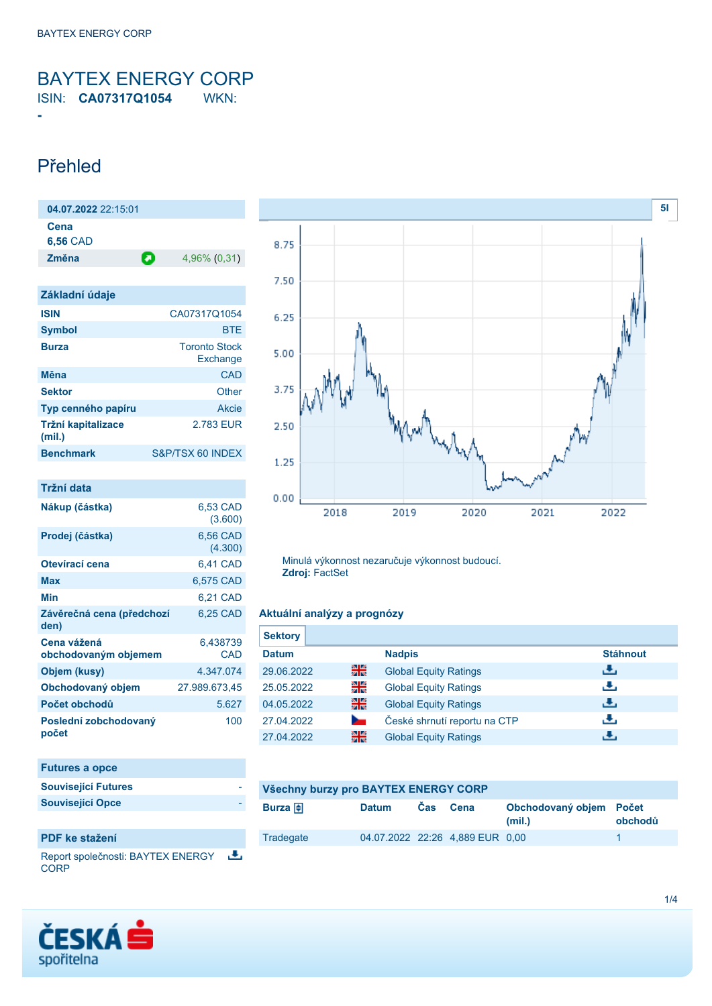<span id="page-0-0"></span>BAYTEX ENERGY CORP ISIN: **CA07317Q1054** WKN:

## Přehled

**-**

| 04.07.2022 22:15:01     |   |              |
|-------------------------|---|--------------|
| Cena<br><b>6,56 CAD</b> |   |              |
| Změna                   | О | 4,96% (0,31) |

| Základní údaje               |                                  |
|------------------------------|----------------------------------|
| <b>ISIN</b>                  | CA07317Q1054                     |
| <b>Symbol</b>                | <b>BTE</b>                       |
| <b>Burza</b>                 | <b>Toronto Stock</b><br>Exchange |
| Měna                         | CAD                              |
| <b>Sektor</b>                | Other                            |
| Typ cenného papíru           | Akcie                            |
| Tržní kapitalizace<br>(mil.) | 2.783 EUR                        |
| <b>Benchmark</b>             | S&P/TSX 60 INDEX                 |

| Tržní data                          |                     |
|-------------------------------------|---------------------|
| Nákup (částka)                      | 6,53 CAD<br>(3.600) |
| Prodej (částka)                     | 6,56 CAD<br>(4.300) |
| Otevírací cena                      | 6,41 CAD            |
| Max                                 | 6,575 CAD           |
| Min                                 | 6,21 CAD            |
| Závěrečná cena (předchozí<br>den)   | 6,25 CAD            |
| Cena vážená<br>obchodovaným objemem | 6,438739<br>CAD     |
| Objem (kusy)                        | 4.347.074           |
| Obchodovaný objem                   | 27.989.673,45       |
| Počet obchodů                       | 5.627               |
| Poslední zobchodovaný<br>počet      | 100                 |

| <b>Futures a opce</b>      |  |
|----------------------------|--|
| <b>Související Futures</b> |  |
| <b>Související Opce</b>    |  |
|                            |  |

## **PDF ke stažení**

Report společnosti: BAYTEX ENERGY 选 **CORP** 





Minulá výkonnost nezaručuje výkonnost budoucí. **Zdroj:** FactSet

### **Aktuální analýzy a prognózy**

| <b>Sektory</b> |    |                              |                 |
|----------------|----|------------------------------|-----------------|
| <b>Datum</b>   |    | <b>Nadpis</b>                | <b>Stáhnout</b> |
| 29.06.2022     | 을중 | <b>Global Equity Ratings</b> | رنان            |
| 25.05.2022     | 읡  | <b>Global Equity Ratings</b> | رنان            |
| 04.05.2022     | 을중 | <b>Global Equity Ratings</b> | J.              |
| 27.04.2022     |    | České shrnutí reportu na CTP | رنان            |
| 27.04.2022     | 噐  | <b>Global Equity Ratings</b> | æ,              |

| Všechny burzy pro BAYTEX ENERGY CORP |              |            |                                 |                                   |         |
|--------------------------------------|--------------|------------|---------------------------------|-----------------------------------|---------|
| Burza $\bigoplus$                    | <b>Datum</b> | <b>Cas</b> | Cena                            | Obchodovaný objem Počet<br>(mil.) | obchodů |
| Tradegate                            |              |            | 04.07.2022 22:26 4,889 EUR 0,00 |                                   |         |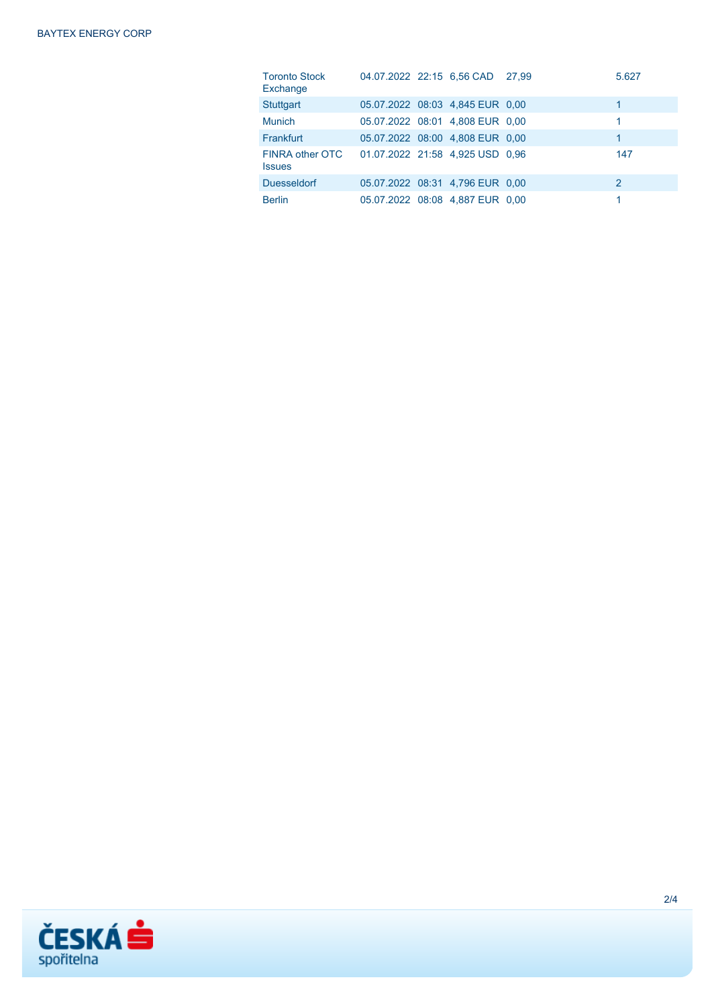| <b>Toronto Stock</b><br>Exchange                                      |                                 | 04.07.2022 22:15 6.56 CAD 27,99 | 5.627 |
|-----------------------------------------------------------------------|---------------------------------|---------------------------------|-------|
| <b>Stuttgart</b>                                                      |                                 | 05.07.2022 08:03 4,845 EUR 0,00 | 1     |
| <b>Munich</b>                                                         |                                 | 05.07.2022 08:01 4,808 EUR 0,00 | 1.    |
| Frankfurt                                                             | 05.07.2022 08:00 4,808 EUR 0,00 |                                 | 1     |
| FINRA other OTC  01.07.2022  21:58  4.925  USD  0.96<br><b>Issues</b> |                                 |                                 | 147   |
| <b>Duesseldorf</b>                                                    |                                 | 05.07.2022 08:31 4,796 EUR 0,00 | 2     |
| <b>Berlin</b>                                                         |                                 | 05.07.2022 08:08 4,887 EUR 0,00 |       |

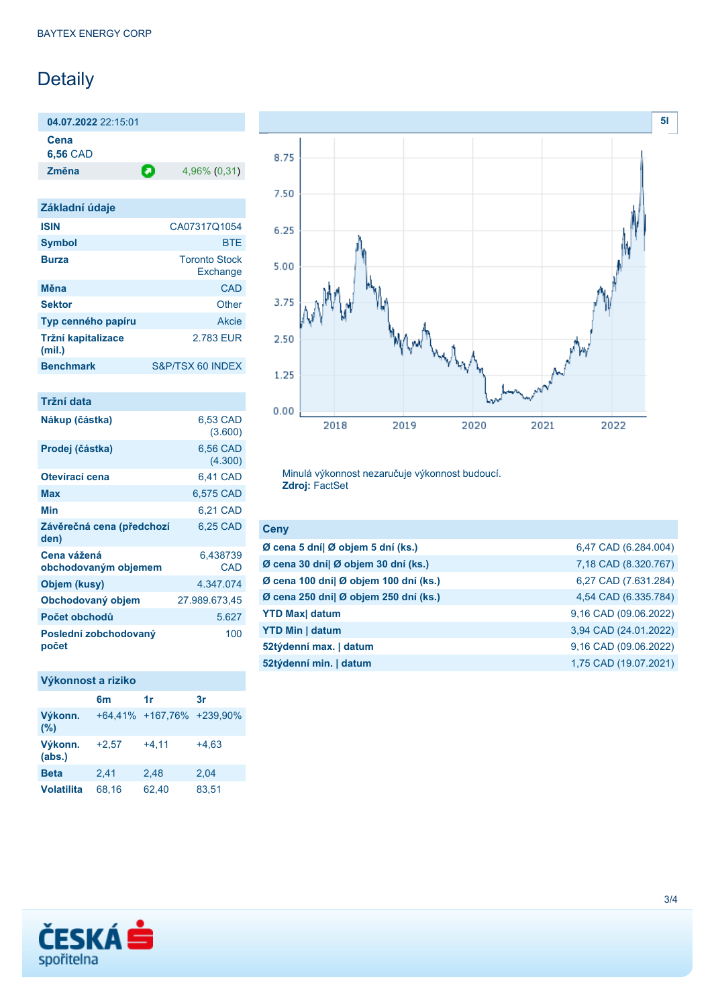# Detaily

**04.07.2022** 22:15:01

**Cena**

**6,56** CAD

**Změna** 4,96% (0,31)

| Základní údaje               |                                  |
|------------------------------|----------------------------------|
| <b>ISIN</b>                  | CA07317Q1054                     |
| <b>Symbol</b>                | <b>BTF</b>                       |
| <b>Burza</b>                 | <b>Toronto Stock</b><br>Exchange |
| Měna                         | CAD                              |
| <b>Sektor</b>                | Other                            |
| Typ cenného papíru           | Akcie                            |
| Tržní kapitalizace<br>(mil.) | 2.783 FUR                        |
| <b>Benchmark</b>             | S&P/TSX 60 INDEX                 |

| Tržní data                          |                     |
|-------------------------------------|---------------------|
| Nákup (částka)                      | 6.53 CAD<br>(3.600) |
| Prodej (částka)                     | 6,56 CAD<br>(4.300) |
| Otevírací cena                      | 6,41 CAD            |
| Max                                 | 6,575 CAD           |
| Min                                 | 6,21 CAD            |
| Závěrečná cena (předchozí<br>den)   | 6,25 CAD            |
| Cena vážená<br>obchodovaným objemem | 6,438739<br>CAD     |
| Objem (kusy)                        | 4.347.074           |
| Obchodovaný objem                   | 27.989.673,45       |
| Počet obchodů                       | 5.627               |
| Poslední zobchodovaný<br>počet      | 100                 |

## **Výkonnost a riziko**

|                   | 6m      | 1r                        | 3r      |
|-------------------|---------|---------------------------|---------|
| Výkonn.<br>(%)    |         | +64,41% +167,76% +239,90% |         |
| Výkonn.<br>(abs.) | $+2,57$ | $+4.11$                   | $+4.63$ |
| <b>Beta</b>       | 2.41    | 2.48                      | 2.04    |
| <b>Volatilita</b> | 68.16   | 62,40                     | 83,51   |



Minulá výkonnost nezaručuje výkonnost budoucí. **Zdroj:** FactSet

| <b>Ceny</b>                           |                       |
|---------------------------------------|-----------------------|
| Ø cena 5 dní  Ø objem 5 dní (ks.)     | 6,47 CAD (6.284.004)  |
| Ø cena 30 dní  Ø objem 30 dní (ks.)   | 7,18 CAD (8.320.767)  |
| Ø cena 100 dní  Ø objem 100 dní (ks.) | 6,27 CAD (7.631.284)  |
| Ø cena 250 dní  Ø objem 250 dní (ks.) | 4,54 CAD (6.335.784)  |
| <b>YTD Max</b> datum                  | 9,16 CAD (09.06.2022) |
| <b>YTD Min   datum</b>                | 3,94 CAD (24.01.2022) |
| 52týdenní max.   datum                | 9,16 CAD (09.06.2022) |
| 52týdenní min.   datum                | 1,75 CAD (19.07.2021) |